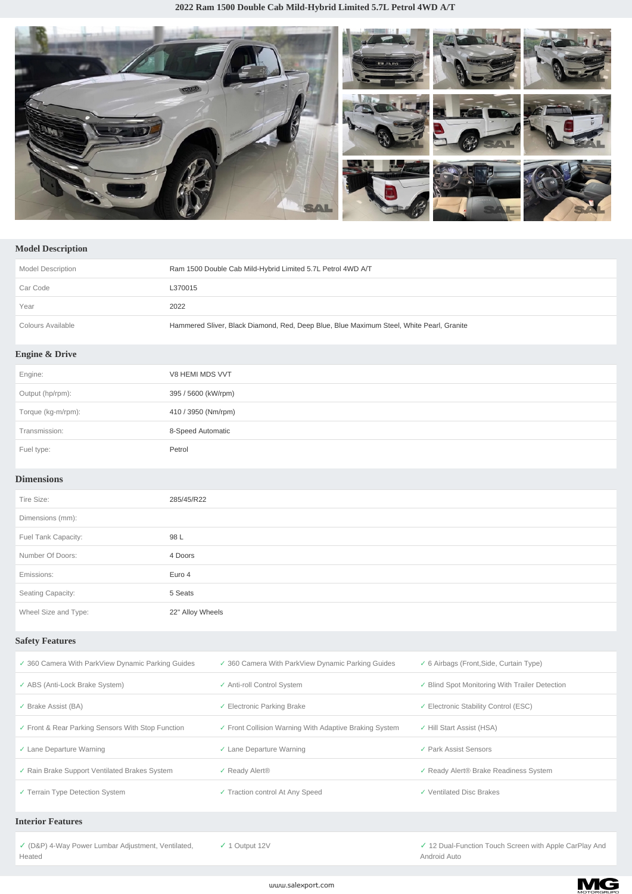

## **Model Description**

| <b>Model Description</b>  | Ram 1500 Double Cab Mild-Hybrid Limited 5.7L Petrol 4WD A/T                              |
|---------------------------|------------------------------------------------------------------------------------------|
| Car Code                  | L370015                                                                                  |
| Year                      | 2022                                                                                     |
| Colours Available         | Hammered Sliver, Black Diamond, Red, Deep Blue, Blue Maximum Steel, White Pearl, Granite |
| <b>Engine &amp; Drive</b> |                                                                                          |
| Engine:                   | V8 HEMI MDS VVT                                                                          |
| Output (hp/rpm):          | 395 / 5600 (kW/rpm)                                                                      |
| Torque (kg-m/rpm):        | 410 / 3950 (Nm/rpm)                                                                      |
| Transmission:             | 8-Speed Automatic                                                                        |

## **Dimensions**

Fuel type: Petrol

| Tire Size:           | 285/45/R22       |
|----------------------|------------------|
| Dimensions (mm):     |                  |
| Fuel Tank Capacity:  | 98 L             |
| Number Of Doors:     | 4 Doors          |
| Emissions:           | Euro 4           |
| Seating Capacity:    | 5 Seats          |
| Wheel Size and Type: | 22" Alloy Wheels |

## **Safety Features**

| ✓ 360 Camera With ParkView Dynamic Parking Guides | ✓ 360 Camera With ParkView Dynamic Parking Guides      | $\checkmark$ 6 Airbags (Front, Side, Curtain Type) |
|---------------------------------------------------|--------------------------------------------------------|----------------------------------------------------|
| ✓ ABS (Anti-Lock Brake System)                    | ✓ Anti-roll Control System                             | ✓ Blind Spot Monitoring With Trailer Detection     |
| Brake Assist (BA)                                 | ✓ Electronic Parking Brake                             | ✓ Electronic Stability Control (ESC)               |
| ✓ Front & Rear Parking Sensors With Stop Function | ✓ Front Collision Warning With Adaptive Braking System | ✓ Hill Start Assist (HSA)                          |
| $\checkmark$ Lane Departure Warning               | $\checkmark$ Lane Departure Warning                    | ✓ Park Assist Sensors                              |
| ✓ Rain Brake Support Ventilated Brakes System     | ✓ Ready Alert <sup>®</sup>                             | ✓ Ready Alert® Brake Readiness System              |
| ✓ Terrain Type Detection System                   | ✓ Traction control At Any Speed                        | ✓ Ventilated Disc Brakes                           |
|                                                   |                                                        |                                                    |

## **Interior Features**

*✓* (D&P) 4-Way Power Lumbar Adjustment, Ventilated, **Heated** 

*✓* 1 Output 12V *✓* 12 Dual-Function Touch Screen with Apple CarPlay And Android Auto